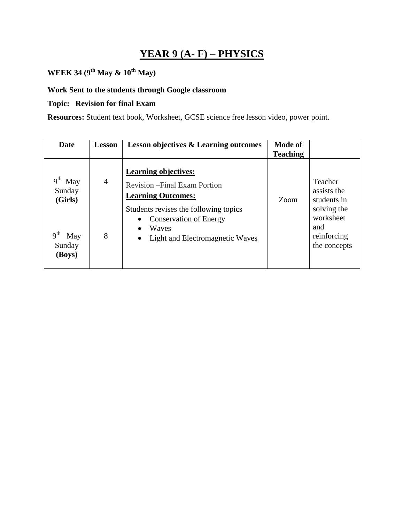### **YEAR 9 (A- F) – PHYSICS**

# **WEEK 34 (9th May & 10th May)**

### **Work Sent to the students through Google classroom**

#### **Topic: Revision for final Exam**

**Resources:** Student text book, Worksheet, GCSE science free lesson video, power point.

| Date                                                | <b>Lesson</b>       | <b>Lesson objectives &amp; Learning outcomes</b>                                                                                                                                                                                    | <b>Mode of</b><br><b>Teaching</b> |                                                                                                         |
|-----------------------------------------------------|---------------------|-------------------------------------------------------------------------------------------------------------------------------------------------------------------------------------------------------------------------------------|-----------------------------------|---------------------------------------------------------------------------------------------------------|
| May<br>Sunday<br>(Girls)<br>May<br>Sunday<br>(Boys) | $\overline{4}$<br>8 | <b>Learning objectives:</b><br><b>Revision – Final Exam Portion</b><br><b>Learning Outcomes:</b><br>Students revises the following topics<br><b>Conservation of Energy</b><br>Waves<br>Light and Electromagnetic Waves<br>$\bullet$ | Zoom                              | Teacher<br>assists the<br>students in<br>solving the<br>worksheet<br>and<br>reinforcing<br>the concepts |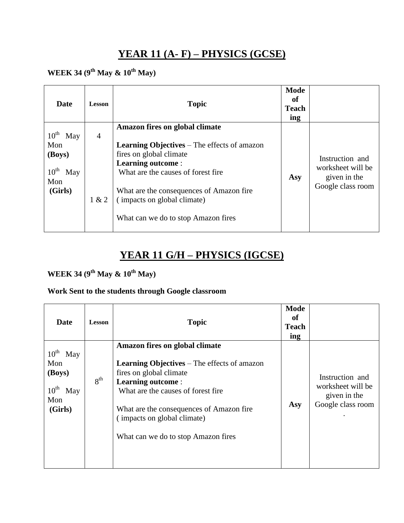### **YEAR 11 (A- F) – PHYSICS (GCSE)**

## **WEEK 34 (9th May & 10th May)**

| Date                                                                                  | <b>Lesson</b>           | <b>Topic</b>                                                                                                                                                                                                                                                                                        | <b>Mode</b><br>of<br><b>Teach</b><br>ing |                                                                           |
|---------------------------------------------------------------------------------------|-------------------------|-----------------------------------------------------------------------------------------------------------------------------------------------------------------------------------------------------------------------------------------------------------------------------------------------------|------------------------------------------|---------------------------------------------------------------------------|
| $10^{\text{th}}$<br>May<br>Mon<br>(Boys)<br>$10^{\text{th}}$<br>May<br>Mon<br>(Girls) | $\overline{4}$<br>1 & 2 | Amazon fires on global climate<br><b>Learning Objectives</b> – The effects of amazon<br>fires on global climate<br><b>Learning outcome:</b><br>What are the causes of forest fire<br>What are the consequences of Amazon fire<br>(impacts on global climate)<br>What can we do to stop Amazon fires | Asy                                      | Instruction and<br>worksheet will be<br>given in the<br>Google class room |

# **YEAR 11 G/H – PHYSICS (IGCSE)**

### **WEEK 34 (9th May & 10th May)**

#### **Work Sent to the students through Google classroom**

| <b>Date</b>                                                                 | <b>Lesson</b>   | <b>Topic</b>                                                                                                                                                                                                                                                                                         | Mode<br>of<br><b>Teach</b><br>ing |                                                                           |
|-----------------------------------------------------------------------------|-----------------|------------------------------------------------------------------------------------------------------------------------------------------------------------------------------------------------------------------------------------------------------------------------------------------------------|-----------------------------------|---------------------------------------------------------------------------|
| $10^{th}$ May<br>Mon<br>(Boys)<br>$10^{\text{th}}$<br>May<br>Mon<br>(Girls) | 8 <sup>th</sup> | Amazon fires on global climate<br><b>Learning Objectives</b> – The effects of amazon<br>fires on global climate<br><b>Learning outcome:</b><br>What are the causes of forest fire.<br>What are the consequences of Amazon fire<br>(impacts on global climate)<br>What can we do to stop Amazon fires | Asy                               | Instruction and<br>worksheet will be<br>given in the<br>Google class room |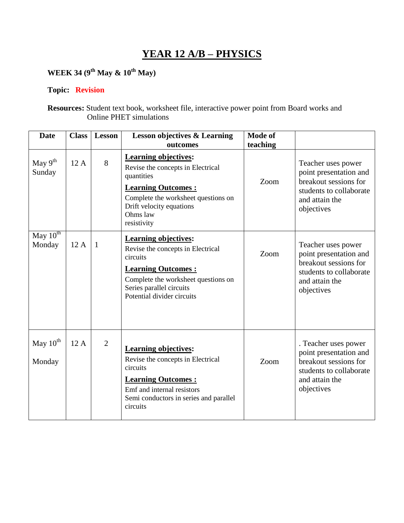### **YEAR 12 A/B – PHYSICS**

## **WEEK 34 (9th May & 10th May)**

#### **Topic: Revision**

**Resources:** Student text book, worksheet file, interactive power point from Board works and Online PHET simulations

| <b>Date</b>             | <b>Class</b> | <b>Lesson</b>  | <b>Lesson objectives &amp; Learning</b><br>outcomes                                                                                                                                                        | <b>Mode of</b><br>teaching |                                                                                                                                    |
|-------------------------|--------------|----------------|------------------------------------------------------------------------------------------------------------------------------------------------------------------------------------------------------------|----------------------------|------------------------------------------------------------------------------------------------------------------------------------|
| May $9^{th}$<br>Sunday  | 12A          | 8              | <b>Learning objectives:</b><br>Revise the concepts in Electrical<br>quantities<br><b>Learning Outcomes:</b><br>Complete the worksheet questions on<br>Drift velocity equations<br>Ohms law<br>resistivity  | Zoom                       | Teacher uses power<br>point presentation and<br>breakout sessions for<br>students to collaborate<br>and attain the<br>objectives   |
| May $10^{th}$<br>Monday | 12A          | $\mathbf{1}$   | <b>Learning objectives:</b><br>Revise the concepts in Electrical<br>circuits<br><b>Learning Outcomes:</b><br>Complete the worksheet questions on<br>Series parallel circuits<br>Potential divider circuits | Zoom                       | Teacher uses power<br>point presentation and<br>breakout sessions for<br>students to collaborate<br>and attain the<br>objectives   |
| May $10^{th}$<br>Monday | 12A          | $\overline{2}$ | <b>Learning objectives:</b><br>Revise the concepts in Electrical<br>circuits<br><b>Learning Outcomes:</b><br>Emf and internal resistors<br>Semi conductors in series and parallel<br>circuits              | Zoom                       | . Teacher uses power<br>point presentation and<br>breakout sessions for<br>students to collaborate<br>and attain the<br>objectives |